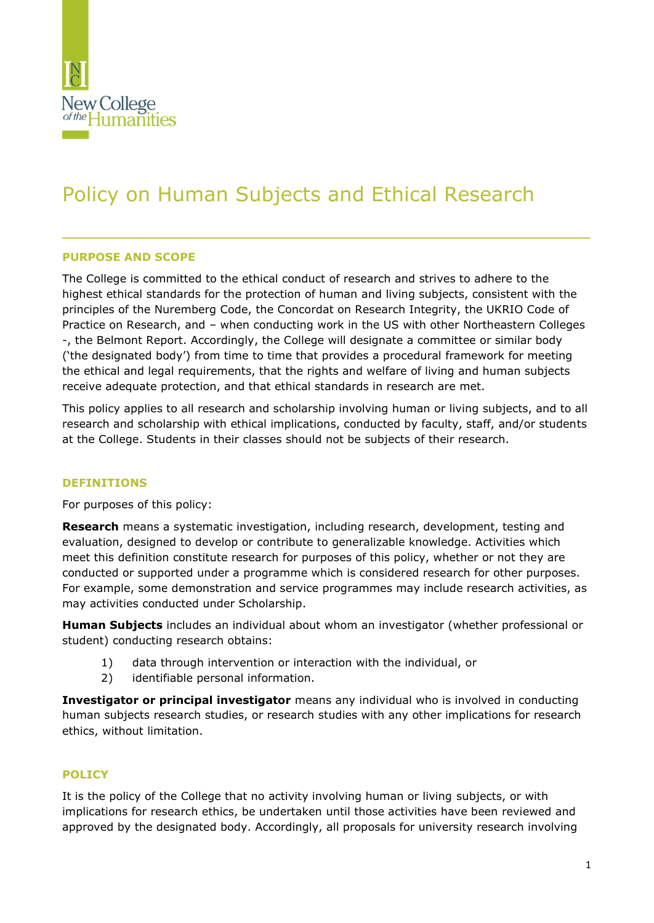

# Policy on Human Subjects and Ethical Research

### **PURPOSE AND SCOPE**

The College is committed to the ethical conduct of research and strives to adhere to the highest ethical standards for the protection of human and living subjects, consistent with the principles of the Nuremberg Code, the Concordat on Research Integrity, the UKRIO Code of Practice on Research, and – when conducting work in the US with other Northeastern Colleges -, the Belmont Report. Accordingly, the College will designate a committee or similar body ('the designated body') from time to time that provides a procedural framework for meeting the ethical and legal requirements, that the rights and welfare of living and human subjects receive adequate protection, and that ethical standards in research are met.

\_\_\_\_\_\_\_\_\_\_\_\_\_\_\_\_\_\_\_\_\_\_\_\_\_\_\_\_\_\_\_\_\_\_\_\_\_\_\_\_\_\_

This policy applies to all research and scholarship involving human or living subjects, and to all research and scholarship with ethical implications, conducted by faculty, staff, and/or students at the College. Students in their classes should not be subjects of their research.

#### **DEFINITIONS**

For purposes of this policy:

**Research** means a systematic investigation, including research, development, testing and evaluation, designed to develop or contribute to generalizable knowledge. Activities which meet this definition constitute research for purposes of this policy, whether or not they are conducted or supported under a programme which is considered research for other purposes. For example, some demonstration and service programmes may include research activities, as may activities conducted under Scholarship.

**Human Subjects** includes an individual about whom an investigator (whether professional or student) conducting research obtains:

- 1) data through intervention or interaction with the individual, or
- 2) identifiable personal information.

**Investigator or principal investigator** means any individual who is involved in conducting human subjects research studies, or research studies with any other implications for research ethics, without limitation.

## **POLICY**

It is the policy of the College that no activity involving human or living subjects, or with implications for research ethics, be undertaken until those activities have been reviewed and approved by the designated body. Accordingly, all proposals for university research involving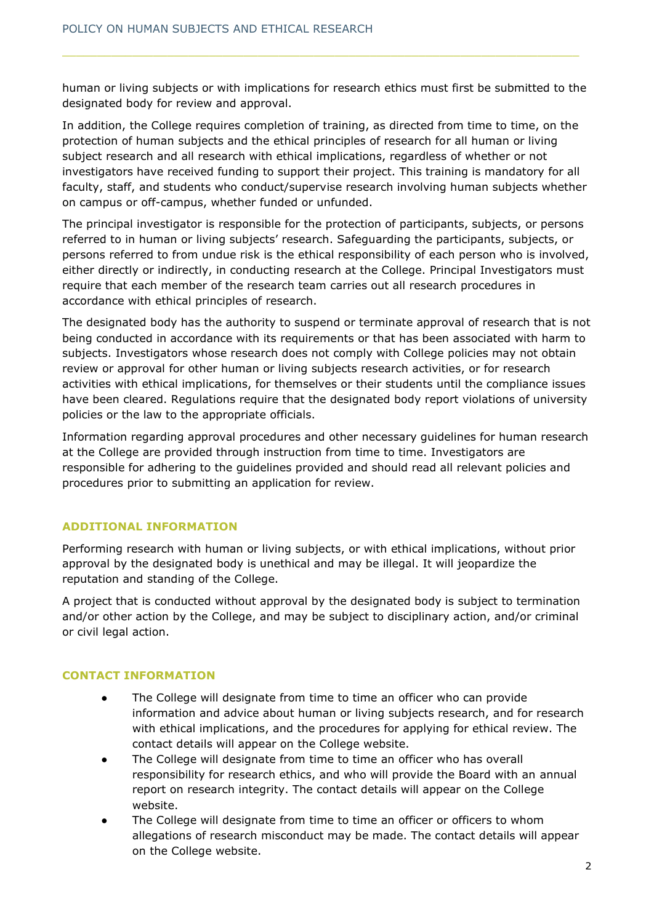human or living subjects or with implications for research ethics must first be submitted to the designated body for review and approval.

In addition, the College requires completion of training, as directed from time to time, on the protection of human subjects and the ethical principles of research for all human or living subject research and all research with ethical implications, regardless of whether or not investigators have received funding to support their project. This training is mandatory for all faculty, staff, and students who conduct/supervise research involving human subjects whether on campus or off-campus, whether funded or unfunded.

The principal investigator is responsible for the protection of participants, subjects, or persons referred to in human or living subjects' research. Safeguarding the participants, subjects, or persons referred to from undue risk is the ethical responsibility of each person who is involved, either directly or indirectly, in conducting research at the College. Principal Investigators must require that each member of the research team carries out all research procedures in accordance with ethical principles of research.

The designated body has the authority to suspend or terminate approval of research that is not being conducted in accordance with its requirements or that has been associated with harm to subjects. Investigators whose research does not comply with College policies may not obtain review or approval for other human or living subjects research activities, or for research activities with ethical implications, for themselves or their students until the compliance issues have been cleared. Regulations require that the designated body report violations of university policies or the law to the appropriate officials.

Information regarding approval procedures and other necessary guidelines for human research at the College are provided through instruction from time to time. Investigators are responsible for adhering to the guidelines provided and should read all relevant policies and procedures prior to submitting an application for review.

#### **ADDITIONAL INFORMATION**

Performing research with human or living subjects, or with ethical implications, without prior approval by the designated body is unethical and may be illegal. It will jeopardize the reputation and standing of the College.

A project that is conducted without approval by the designated body is subject to termination and/or other action by the College, and may be subject to disciplinary action, and/or criminal or civil legal action.

## **CONTACT INFORMATION**

- The College will designate from time to time an officer who can provide information and advice about human or living subjects research, and for research with ethical implications, and the procedures for applying for ethical review. The contact details will appear on the College website.
- The College will designate from time to time an officer who has overall responsibility for research ethics, and who will provide the Board with an annual report on research integrity. The contact details will appear on the College website.
- The College will designate from time to time an officer or officers to whom allegations of research misconduct may be made. The contact details will appear on the College website.